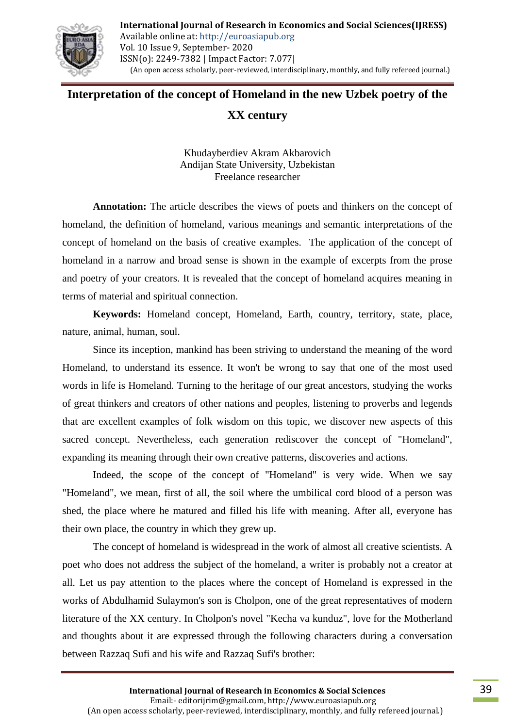

# **Interpretation of the concept of Homeland in the new Uzbek poetry of the XX century**

Khudayberdiev Akram Akbarovich Andijan State University, Uzbekistan Freelance researcher

**Annotation:** The article describes the views of poets and thinkers on the concept of homeland, the definition of homeland, various meanings and semantic interpretations of the concept of homeland on the basis of creative examples. The application of the concept of homeland in a narrow and broad sense is shown in the example of excerpts from the prose and poetry of your creators. It is revealed that the concept of homeland acquires meaning in terms of material and spiritual connection.

**Keywords:** Homeland concept, Homeland, Earth, country, territory, state, place, nature, animal, human, soul.

Since its inception, mankind has been striving to understand the meaning of the word Homeland, to understand its essence. It won't be wrong to say that one of the most used words in life is Homeland. Turning to the heritage of our great ancestors, studying the works of great thinkers and creators of other nations and peoples, listening to proverbs and legends that are excellent examples of folk wisdom on this topic, we discover new aspects of this sacred concept. Nevertheless, each generation rediscover the concept of "Homeland", expanding its meaning through their own creative patterns, discoveries and actions.

Indeed, the scope of the concept of "Homeland" is very wide. When we say "Homeland", we mean, first of all, the soil where the umbilical cord blood of a person was shed, the place where he matured and filled his life with meaning. After all, everyone has their own place, the country in which they grew up.

The concept of homeland is widespread in the work of almost all creative scientists. A poet who does not address the subject of the homeland, a writer is probably not a creator at all. Let us pay attention to the places where the concept of Homeland is expressed in the works of Abdulhamid Sulaymon's son is Cholpon, one of the great representatives of modern literature of the XX century. In Cholpon's novel "Kecha va kunduz", love for the Motherland and thoughts about it are expressed through the following characters during a conversation between Razzaq Sufi and his wife and Razzaq Sufi's brother: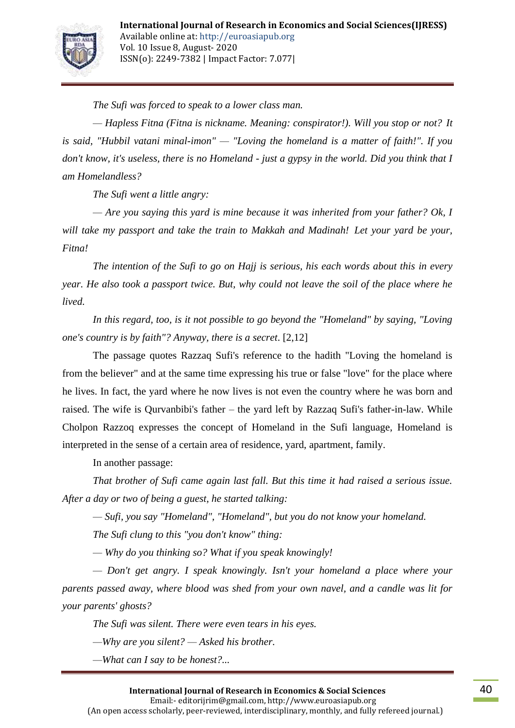

*The Sufi was forced to speak to a lower class man.*

*— Hapless Fitna (Fitna is nickname. Meaning: conspirator!). Will you stop or not? It is said, "Hubbil vatani minal-imon" — "Loving the homeland is a matter of faith!". If you don't know, it's useless, there is no Homeland - just a gypsy in the world. Did you think that I am Homelandless?*

*The Sufi went a little angry:*

*— Are you saying this yard is mine because it was inherited from your father? Ok, I will take my passport and take the train to Makkah and Madinah! Let your yard be your, Fitna!* 

*The intention of the Sufi to go on Hajj is serious, his each words about this in every year. He also took a passport twice. But, why could not leave the soil of the place where he lived.* 

*In this regard, too, is it not possible to go beyond the "Homeland" by saying, "Loving one's country is by faith"? Anyway, there is a secret*. [2,12]

The passage quotes Razzaq Sufi's reference to the hadith "Loving the homeland is from the believer" and at the same time expressing his true or false "love" for the place where he lives. In fact, the yard where he now lives is not even the country where he was born and raised. The wife is Qurvanbibi's father – the yard left by Razzaq Sufi's father-in-law. While Cholpon Razzoq expresses the concept of Homeland in the Sufi language, Homeland is interpreted in the sense of a certain area of residence, yard, apartment, family.

In another passage:

*That brother of Sufi came again last fall. But this time it had raised a serious issue. After a day or two of being a guest, he started talking:*

*— Sufi, you say "Homeland", "Homeland", but you do not know your homeland.* 

*The Sufi clung to this "you don't know" thing:*

*— Why do you thinking so? What if you speak knowingly!*

*— Don't get angry. I speak knowingly. Isn't your homeland a place where your parents passed away, where blood was shed from your own navel, and a candle was lit for your parents' ghosts?*

*The Sufi was silent. There were even tears in his eyes.*

*—Why are you silent? — Asked his brother.*

*—What can I say to be honest?...*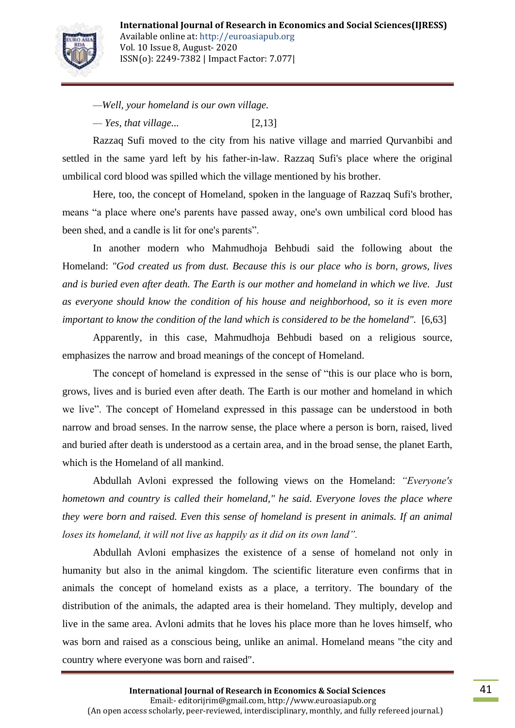

*—Well, your homeland is our own village.*

*— Yes, that village...* [2,13]

Razzaq Sufi moved to the city from his native village and married Qurvanbibi and settled in the same yard left by his father-in-law. Razzaq Sufi's place where the original umbilical cord blood was spilled which the village mentioned by his brother.

Here, too, the concept of Homeland, spoken in the language of Razzaq Sufi's brother, means "a place where one's parents have passed away, one's own umbilical cord blood has been shed, and a candle is lit for one's parents".

In another modern who Mahmudhoja Behbudi said the following about the Homeland: *"God created us from dust. Because this is our place who is born, grows, lives and is buried even after death. The Earth is our mother and homeland in which we live. Just as everyone should know the condition of his house and neighborhood, so it is even more important to know the condition of the land which is considered to be the homeland".* [6,63]

Apparently, in this case, Mahmudhoja Behbudi based on a religious source, emphasizes the narrow and broad meanings of the concept of Homeland.

The concept of homeland is expressed in the sense of "this is our place who is born, grows, lives and is buried even after death. The Earth is our mother and homeland in which we live". The concept of Homeland expressed in this passage can be understood in both narrow and broad senses. In the narrow sense, the place where a person is born, raised, lived and buried after death is understood as a certain area, and in the broad sense, the planet Earth, which is the Homeland of all mankind.

Abdullah Avloni expressed the following views on the Homeland: *"Everyone's hometown and country is called their homeland," he said. Everyone loves the place where they were born and raised. Even this sense of homeland is present in animals. If an animal loses its homeland, it will not live as happily as it did on its own land".*

Abdullah Avloni emphasizes the existence of a sense of homeland not only in humanity but also in the animal kingdom. The scientific literature even confirms that in animals the concept of homeland exists as a place, a territory. The boundary of the distribution of the animals, the adapted area is their homeland. They multiply, develop and live in the same area. Avloni admits that he loves his place more than he loves himself, who was born and raised as a conscious being, unlike an animal. Homeland means "the city and country where everyone was born and raised".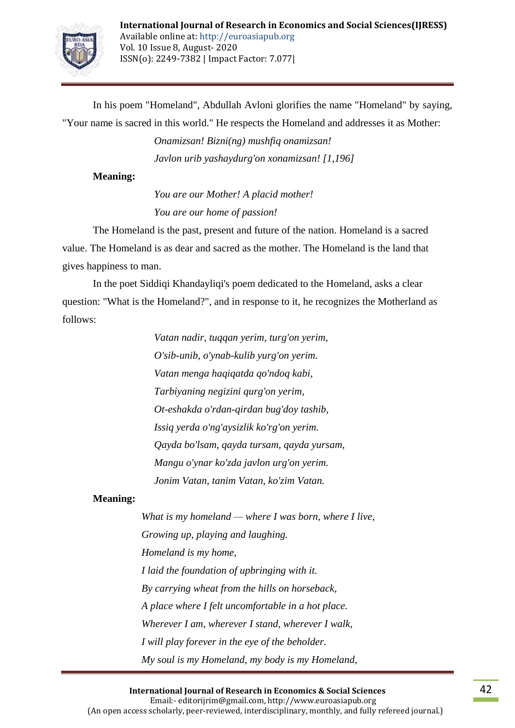

In his poem "Homeland", Abdullah Avloni glorifies the name "Homeland" by saying, "Your name is sacred in this world." He respects the Homeland and addresses it as Mother:

> *Onamizsan! Bizni(ng) mushfiq onamizsan! Javlon urib yashaydurg'on xonamizsan! [1,196]*

### **Meaning:**

*You are our Mother! A placid mother! You are our home of passion!*

The Homeland is the past, present and future of the nation. Homeland is a sacred value. The Homeland is as dear and sacred as the mother. The Homeland is the land that gives happiness to man.

In the poet Siddiqi Khandayliqi's poem dedicated to the Homeland, asks a clear question: "What is the Homeland?", and in response to it, he recognizes the Motherland as follows:

> *Vatan nadir, tuqqan yerim, turg'on yerim, O'sib-unib, o'ynab-kulib yurg'on yerim. Vatan menga haqiqatda qo'ndoq kabi, Tarbiyaning negizini qurg'on yerim, Ot-eshakda o'rdan-qirdan bug'doy tashib, Issiq yerda o'ng'aysizlik ko'rg'on yerim. Qayda bo'lsam, qayda tursam, qayda yursam, Mangu o'ynar ko'zda javlon urg'on yerim. Jonim Vatan, tanim Vatan, ko'zim Vatan.*

### **Meaning:**

*What is my homeland — where I was born, where I live, Growing up, playing and laughing. Homeland is my home, I laid the foundation of upbringing with it. By carrying wheat from the hills on horseback, A place where I felt uncomfortable in a hot place. Wherever I am, wherever I stand, wherever I walk, I will play forever in the eye of the beholder. My soul is my Homeland, my body is my Homeland,*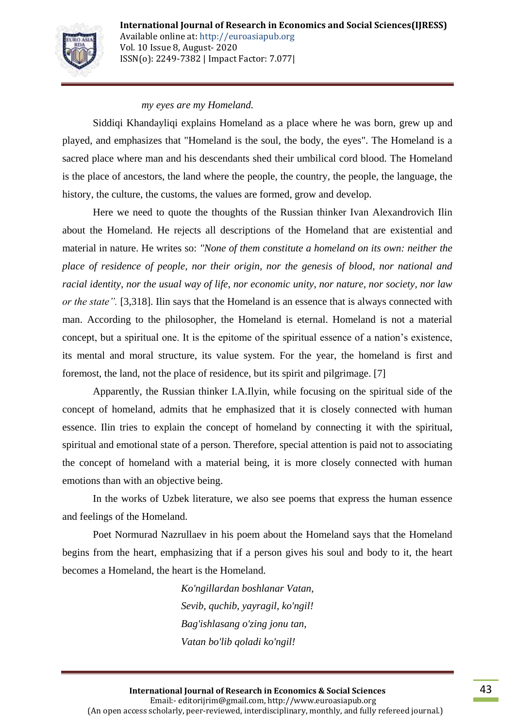

*my eyes are my Homeland.*

Siddiqi Khandayliqi explains Homeland as a place where he was born, grew up and played, and emphasizes that "Homeland is the soul, the body, the eyes". The Homeland is a sacred place where man and his descendants shed their umbilical cord blood. The Homeland is the place of ancestors, the land where the people, the country, the people, the language, the history, the culture, the customs, the values are formed, grow and develop.

Here we need to quote the thoughts of the Russian thinker Ivan Alexandrovich Ilin about the Homeland. He rejects all descriptions of the Homeland that are existential and material in nature. He writes so: *"None of them constitute a homeland on its own: neither the place of residence of people, nor their origin, nor the genesis of blood, nor national and racial identity, nor the usual way of life, nor economic unity, nor nature, nor society, nor law or the state".* [3,318]. Ilin says that the Homeland is an essence that is always connected with man. According to the philosopher, the Homeland is eternal. Homeland is not a material concept, but a spiritual one. It is the epitome of the spiritual essence of a nation's existence, its mental and moral structure, its value system. For the year, the homeland is first and foremost, the land, not the place of residence, but its spirit and pilgrimage. [7]

Apparently, the Russian thinker I.A.Ilyin, while focusing on the spiritual side of the concept of homeland, admits that he emphasized that it is closely connected with human essence. Ilin tries to explain the concept of homeland by connecting it with the spiritual, spiritual and emotional state of a person. Therefore, special attention is paid not to associating the concept of homeland with a material being, it is more closely connected with human emotions than with an objective being.

In the works of Uzbek literature, we also see poems that express the human essence and feelings of the Homeland.

Poet Normurad Nazrullaev in his poem about the Homeland says that the Homeland begins from the heart, emphasizing that if a person gives his soul and body to it, the heart becomes a Homeland, the heart is the Homeland.

> *Ko'ngillardan boshlanar Vatan, Sevib, quchib, yayragil, ko'ngil! Bag'ishlasang o'zing jonu tan, Vatan bo'lib qoladi ko'ngil!*